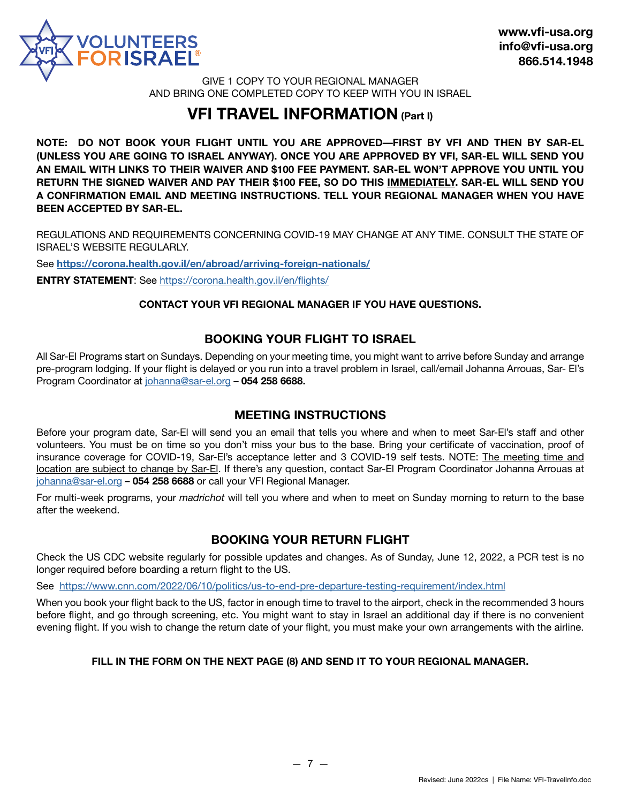

GIVE 1 COPY TO YOUR REGIONAL MANAGER AND BRING ONE COMPLETED COPY TO KEEP WITH YOU IN ISRAEL

## **VFI TRAVEL INFORMATION (Part I)**

**NOTE: DO NOT BOOK YOUR FLIGHT UNTIL YOU ARE APPROVED—FIRST BY VFI AND THEN BY SAR-EL (UNLESS YOU ARE GOING TO ISRAEL ANYWAY). ONCE YOU ARE APPROVED BY VFI, SAR-EL WILL SEND YOU AN EMAIL WITH LINKS TO THEIR WAIVER AND \$100 FEE PAYMENT. SAR-EL WON'T APPROVE YOU UNTIL YOU RETURN THE SIGNED WAIVER AND PAY THEIR \$100 FEE, SO DO THIS IMMEDIATELY. SAR-EL WILL SEND YOU A CONFIRMATION EMAIL AND MEETING INSTRUCTIONS. TELL YOUR REGIONAL MANAGER WHEN YOU HAVE BEEN ACCEPTED BY SAR-EL.**

REGULATIONS AND REQUIREMENTS CONCERNING COVID-19 MAY CHANGE AT ANY TIME. CONSULT THE STATE OF ISRAEL'S WEBSITE REGULARLY.

See **[https://corona.health.gov.il/en/abroad/arriving-foreign-nationals/](https://corona.health.gov.il/en/abroad/arriving-foreign-nationals/%20)**

**ENTRY STATEMENT:** See https://corona.health.gov.il/en/flights/

#### **CONTACT YOUR VFI REGIONAL MANAGER IF YOU HAVE QUESTIONS.**

### **BOOKING YOUR FLIGHT TO ISRAEL**

All Sar-El Programs start on Sundays. Depending on your meeting time, you might want to arrive before Sunday and arrange pre-program lodging. If your flight is delayed or you run into a travel problem in Israel, call/email Johanna Arrouas, Sar- El's Program Coordinator at johanna@sar-el.org – **054 2[58 6688.](mailto:johanna%40sar-el.org?subject=)**

#### **MEETING INSTRUCTIONS**

Before your program date, Sar-El will send you an email that tells you where and when to meet Sar-El's staff and other volunteers. You must be on time so you don't miss your bus to the base. Bring your certificate of vaccination, proof of insurance coverage for COVID-19, Sar-El's acceptance letter and 3 COVID-19 self tests. NOTE: The meeting time and location are subject to change by Sar-El. If there's any question, contact Sar-El Program Coordinator Johanna Arrouas at [johanna@sar-el.org](mailto:johanna%40sar-el.org?subject=) – **054 258 6688** or call your VFI Regional Manager.

For multi-week programs, your *madrichot* will tell you where and when to meet on Sunday morning to return to the base after the weekend.

## **BOOKING YOUR RETURN FLIGHT**

Check the US CDC website regularly for possible updates and changes. As of Sunday, June 12, 2022, a PCR test is no longer required before boarding a return flight to the US.

See <https://www.cnn.com/2022/06/10/politics/us-to-end-pre-departure-testing-requirement/index.html>

When you book your flight back to the US, factor in enough time to travel to the airport, check in the recommended 3 hours before flight, and go through screening, etc. You might want to stay in Israel an additional day if there is no convenient evening flight. If you wish to change the return date of your flight, you must make your own arrangements with the airline.

#### **FILL IN THE FORM ON THE NEXT PAGE (8) AND SEND IT TO YOUR REGIONAL MANAGER.**